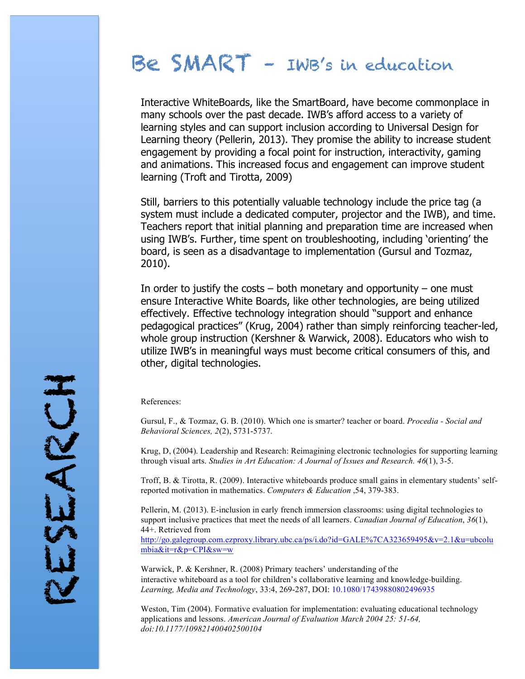## Be SMART – IWB's in education

Interactive WhiteBoards, like the SmartBoard, have become commonplace in many schools over the past decade. IWB's afford access to a variety of learning styles and can support inclusion according to Universal Design for Learning theory (Pellerin, 2013). They promise the ability to increase student engagement by providing a focal point for instruction, interactivity, gaming and animations. This increased focus and engagement can improve student learning (Troft and Tirotta, 2009)

Still, barriers to this potentially valuable technology include the price tag (a system must include a dedicated computer, projector and the IWB), and time. Teachers report that initial planning and preparation time are increased when using IWB's. Further, time spent on troubleshooting, including 'orienting' the board, is seen as a disadvantage to implementation (Gursul and Tozmaz, 2010).

In order to justify the costs  $-$  both monetary and opportunity  $-$  one must ensure Interactive White Boards, like other technologies, are being utilized effectively. Effective technology integration should "support and enhance pedagogical practices" (Krug, 2004) rather than simply reinforcing teacher-led, whole group instruction (Kershner & Warwick, 2008). Educators who wish to utilize IWB's in meaningful ways must become critical consumers of this, and other, digital technologies.

## References:

Gursul, F., & Tozmaz, G. B. (2010). Which one is smarter? teacher or board. *Procedia - Social and Behavioral Sciences, 2*(2), 5731-5737.

Krug, D, (2004). Leadership and Research: Reimagining electronic technologies for supporting learning through visual arts. *Studies in Art Education: A Journal of Issues and Research. 46*(1), 3-5.

Troff, B. & Tirotta, R. (2009). Interactive whiteboards produce small gains in elementary students' selfreported motivation in mathematics. *Computers & Education* ,54, 379-383.

Pellerin, M. (2013). E-inclusion in early french immersion classrooms: using digital technologies to support inclusive practices that meet the needs of all learners. *Canadian Journal of Education*, *36*(1), 44+. Retrieved from http://go.galegroup.com.ezproxy.library.ubc.ca/ps/i.do?id=GALE%7CA323659495&v=2.1&u=ubcolu

mbia&it=r&p=CPI&sw=w

Warwick, P. & Kershner, R. (2008) Primary teachers' understanding of the interactive whiteboard as a tool for children's collaborative learning and knowledge-building. *Learning, Media and Technology*, 33:4, 269-287, DOI: 10.1080/17439880802496935

Weston, Tim (2004). Formative evaluation for implementation: evaluating educational technology applications and lessons. *American Journal of Evaluation March 2004 25: 51-64, doi:10.1177/109821400402500104*